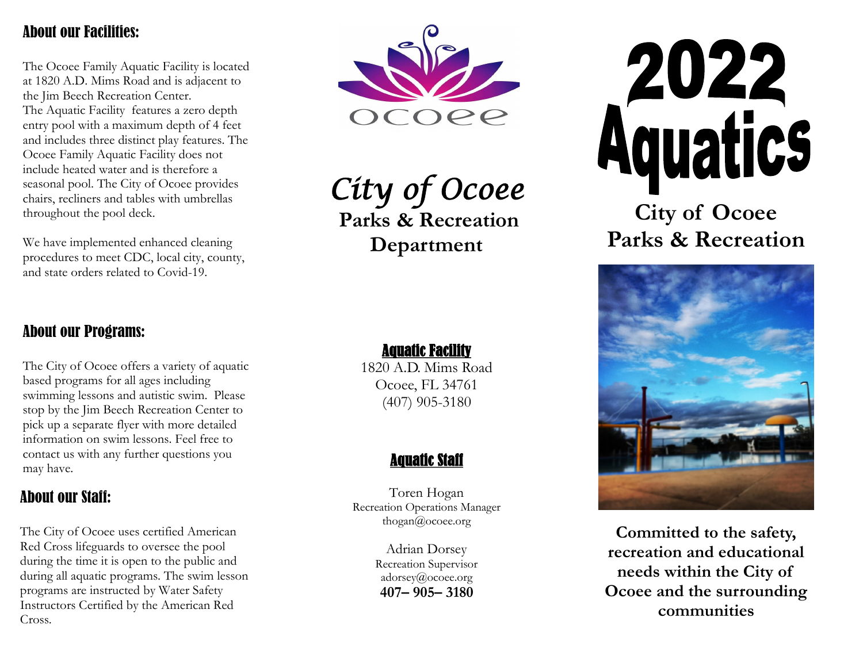### About our Facilities:

The Ocoee Family Aquatic Facility is located at 1820 A.D. Mims Road and is adjacent to the Jim Beech Recreation Center. The Aquatic Facility features a zero depth entry pool with a maximum depth of 4 feet and includes three distinct play features. The Ocoee Family Aquatic Facility does not include heated water and is therefore a seasonal pool. The City of Ocoee provides chairs, recliners and tables with umbrellas throughout the pool deck.

We have implemented enhanced cleaning procedures to meet CDC, local city, county, and state orders related to Covid-19.



*City of Ocoee*  **Parks & Recreation** 

**Department**

### Aquatic Facility

1820 A.D. Mims Road Ocoee, FL 34761 (407) 905-3180

### Aquatic Staff

Toren Hogan Recreation Operations Manager thogan@ocoee.org

> Adrian Dorsey Recreation Supervisor adorsey@ocoee.org **407– 905– 3180**



**City of Ocoee Parks & Recreation**



**Committed to the safety, recreation and educational needs within the City of Ocoee and the surrounding communities** 

## About our Programs:

The City of Ocoee offers a variety of aquatic based programs for all ages including swimming lessons and autistic swim. Please stop by the Jim Beech Recreation Center to pick up a separate flyer with more detailed information on swim lessons. Feel free to contact us with any further questions you may have.

## About our Staff:

The City of Ocoee uses certified American Red Cross lifeguards to oversee the pool during the time it is open to the public and during all aquatic programs. The swim lesson programs are instructed by Water Safety Instructors Certified by the American Red Cross.